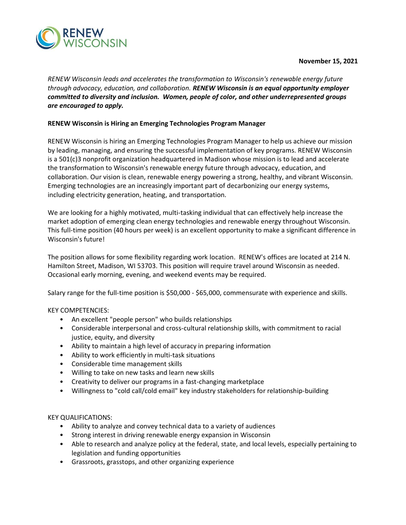

### **November 15, 2021**

*RENEW Wisconsin leads and accelerates the transformation to Wisconsin's renewable energy future through advocacy, education, and collaboration. RENEW Wisconsin is an equal opportunity employer committed to diversity and inclusion. Women, people of color, and other underrepresented groups are encouraged to apply.*

## **RENEW Wisconsin is Hiring an Emerging Technologies Program Manager**

RENEW Wisconsin is hiring an Emerging Technologies Program Manager to help us achieve our mission by leading, managing, and ensuring the successful implementation of key programs. RENEW Wisconsin is a 501(c)3 nonprofit organization headquartered in Madison whose mission is to lead and accelerate the transformation to Wisconsin's renewable energy future through advocacy, education, and collaboration. Our vision is clean, renewable energy powering a strong, healthy, and vibrant Wisconsin. Emerging technologies are an increasingly important part of decarbonizing our energy systems, including electricity generation, heating, and transportation.

We are looking for a highly motivated, multi-tasking individual that can effectively help increase the market adoption of emerging clean energy technologies and renewable energy throughout Wisconsin. This full-time position (40 hours per week) is an excellent opportunity to make a significant difference in Wisconsin's future!

The position allows for some flexibility regarding work location. RENEW's offices are located at 214 N. Hamilton Street, Madison, WI 53703. This position will require travel around Wisconsin as needed. Occasional early morning, evening, and weekend events may be required.

Salary range for the full-time position is \$50,000 - \$65,000, commensurate with experience and skills.

## KEY COMPETENCIES:

- An excellent "people person" who builds relationships
- Considerable interpersonal and cross-cultural relationship skills, with commitment to racial justice, equity, and diversity
- Ability to maintain a high level of accuracy in preparing information
- Ability to work efficiently in multi-task situations
- Considerable time management skills
- Willing to take on new tasks and learn new skills
- Creativity to deliver our programs in a fast-changing marketplace
- Willingness to "cold call/cold email" key industry stakeholders for relationship-building

## KEY QUALIFICATIONS:

- Ability to analyze and convey technical data to a variety of audiences
- Strong interest in driving renewable energy expansion in Wisconsin
- Able to research and analyze policy at the federal, state, and local levels, especially pertaining to legislation and funding opportunities
- Grassroots, grasstops, and other organizing experience